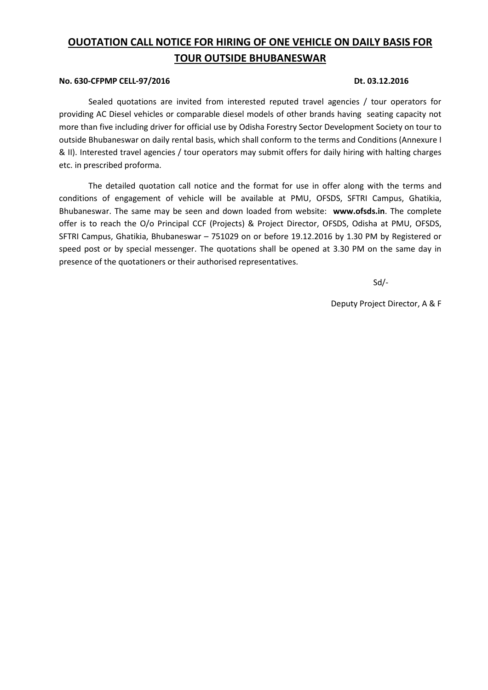# **OUOTATION CALL NOTICE FOR HIRING OF ONE VEHICLE ON DAILY BASIS FOR TOUR OUTSIDE BHUBANESWAR**

#### **No. 630-CFPMP CELL-97/2016 Dt. 03.12.2016**

Sealed quotations are invited from interested reputed travel agencies / tour operators for providing AC Diesel vehicles or comparable diesel models of other brands having seating capacity not more than five including driver for official use by Odisha Forestry Sector Development Society on tour to outside Bhubaneswar on daily rental basis, which shall conform to the terms and Conditions (Annexure I & II). Interested travel agencies / tour operators may submit offers for daily hiring with halting charges etc. in prescribed proforma.

The detailed quotation call notice and the format for use in offer along with the terms and conditions of engagement of vehicle will be available at PMU, OFSDS, SFTRI Campus, Ghatikia, Bhubaneswar. The same may be seen and down loaded from website: **[www.ofsds.in](http://www.ofsds.in/)**. The complete offer is to reach the O/o Principal CCF (Projects) & Project Director, OFSDS, Odisha at PMU, OFSDS, SFTRI Campus, Ghatikia, Bhubaneswar – 751029 on or before 19.12.2016 by 1.30 PM by Registered or speed post or by special messenger. The quotations shall be opened at 3.30 PM on the same day in presence of the quotationers or their authorised representatives.

 $Sd$ 

Deputy Project Director, A & F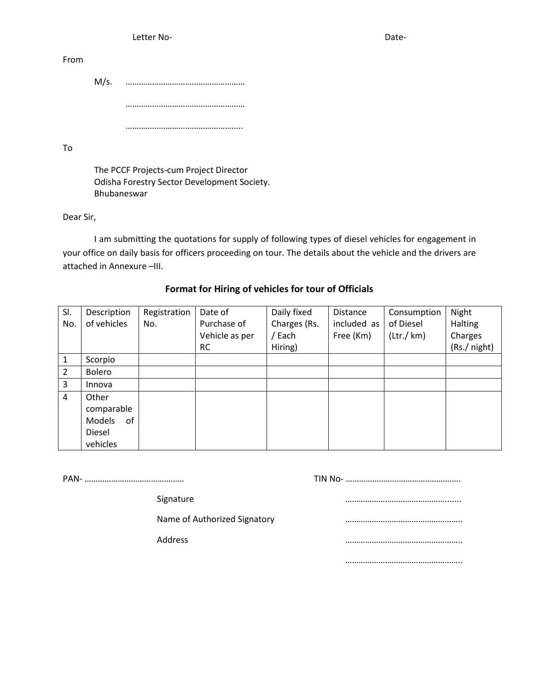Letter No- Date-

From

M/s. ……………………………………………… ……………………………………………… ……………………………………………..

To

The PCCF Projects-cum Project Director Odisha Forestry Sector Development Society. Bhubaneswar

Dear Sir,

I am submitting the quotations for supply of following types of diesel vehicles for engagement in your office on daily basis for officers proceeding on tour. The details about the vehicle and the drivers are attached in Annexure –III.

# **Format for Hiring of vehicles for tour of Officials**

| SI. | Description  | Registration | Date of        | Daily fixed  | Distance    | Consumption               | Night        |
|-----|--------------|--------------|----------------|--------------|-------------|---------------------------|--------------|
| No. | of vehicles  | No.          | Purchase of    | Charges (Rs. | included as | of Diesel                 | Halting      |
|     |              |              | Vehicle as per | / Each       | Free (Km)   | $(\text{Ltr.}/\text{km})$ | Charges      |
|     |              |              | <b>RC</b>      | Hiring)      |             |                           | (Rs./ night) |
| 1   | Scorpio      |              |                |              |             |                           |              |
| 2   | Bolero       |              |                |              |             |                           |              |
| 3   | Innova       |              |                |              |             |                           |              |
| 4   | Other        |              |                |              |             |                           |              |
|     | comparable   |              |                |              |             |                           |              |
|     | Models<br>of |              |                |              |             |                           |              |
|     | Diesel       |              |                |              |             |                           |              |
|     | vehicles     |              |                |              |             |                           |              |

PAN- ……………………………………… TIN No- …………………………………………….

Signature **Example 2018** and 2018 and 2018 and 2018 and 2018 and 2018 and 2018 and 2018 and 2018 and 2018 and 20

Name of Authorized Signatory manufactured manufactured with the method of Authorized Signatory

Address ……………………………………………..

……………………………………………..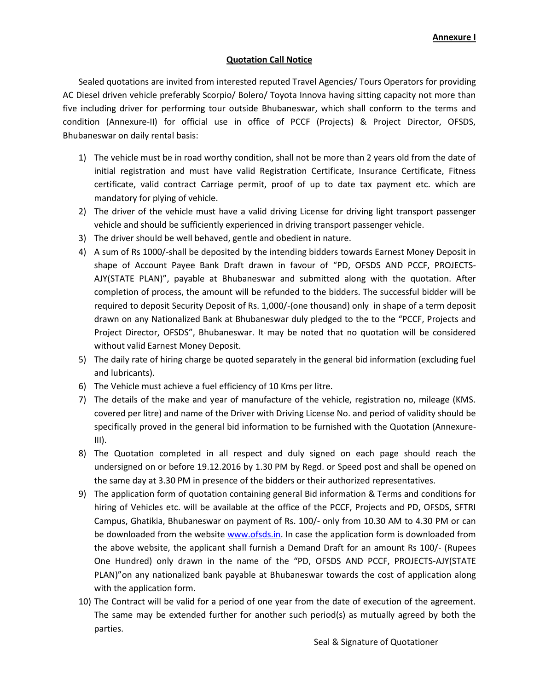## **Quotation Call Notice**

Sealed quotations are invited from interested reputed Travel Agencies/ Tours Operators for providing AC Diesel driven vehicle preferably Scorpio/ Bolero/ Toyota Innova having sitting capacity not more than five including driver for performing tour outside Bhubaneswar, which shall conform to the terms and condition (Annexure-II) for official use in office of PCCF (Projects) & Project Director, OFSDS, Bhubaneswar on daily rental basis:

- 1) The vehicle must be in road worthy condition, shall not be more than 2 years old from the date of initial registration and must have valid Registration Certificate, Insurance Certificate, Fitness certificate, valid contract Carriage permit, proof of up to date tax payment etc. which are mandatory for plying of vehicle.
- 2) The driver of the vehicle must have a valid driving License for driving light transport passenger vehicle and should be sufficiently experienced in driving transport passenger vehicle.
- 3) The driver should be well behaved, gentle and obedient in nature.
- 4) A sum of Rs 1000/-shall be deposited by the intending bidders towards Earnest Money Deposit in shape of Account Payee Bank Draft drawn in favour of "PD, OFSDS AND PCCF, PROJECTS-AJY(STATE PLAN)", payable at Bhubaneswar and submitted along with the quotation. After completion of process, the amount will be refunded to the bidders. The successful bidder will be required to deposit Security Deposit of Rs. 1,000/-(one thousand) only in shape of a term deposit drawn on any Nationalized Bank at Bhubaneswar duly pledged to the to the "PCCF, Projects and Project Director, OFSDS", Bhubaneswar. It may be noted that no quotation will be considered without valid Earnest Money Deposit.
- 5) The daily rate of hiring charge be quoted separately in the general bid information (excluding fuel and lubricants).
- 6) The Vehicle must achieve a fuel efficiency of 10 Kms per litre.
- 7) The details of the make and year of manufacture of the vehicle, registration no, mileage (KMS. covered per litre) and name of the Driver with Driving License No. and period of validity should be specifically proved in the general bid information to be furnished with the Quotation (Annexure-III).
- 8) The Quotation completed in all respect and duly signed on each page should reach the undersigned on or before 19.12.2016 by 1.30 PM by Regd. or Speed post and shall be opened on the same day at 3.30 PM in presence of the bidders or their authorized representatives.
- 9) The application form of quotation containing general Bid information & Terms and conditions for hiring of Vehicles etc. will be available at the office of the PCCF, Projects and PD, OFSDS, SFTRI Campus, Ghatikia, Bhubaneswar on payment of Rs. 100/- only from 10.30 AM to 4.30 PM or can be downloaded from the website [www.ofsds.in.](http://www.ofsds.in/) In case the application form is downloaded from the above website, the applicant shall furnish a Demand Draft for an amount Rs 100/- (Rupees One Hundred) only drawn in the name of the "PD, OFSDS AND PCCF, PROJECTS-AJY(STATE PLAN)"on any nationalized bank payable at Bhubaneswar towards the cost of application along with the application form.
- 10) The Contract will be valid for a period of one year from the date of execution of the agreement. The same may be extended further for another such period(s) as mutually agreed by both the parties.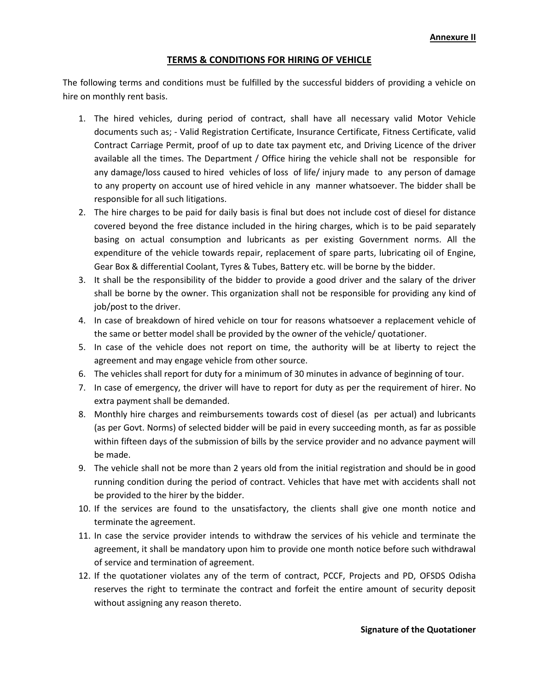## **TERMS & CONDITIONS FOR HIRING OF VEHICLE**

The following terms and conditions must be fulfilled by the successful bidders of providing a vehicle on hire on monthly rent basis.

- 1. The hired vehicles, during period of contract, shall have all necessary valid Motor Vehicle documents such as; - Valid Registration Certificate, Insurance Certificate, Fitness Certificate, valid Contract Carriage Permit, proof of up to date tax payment etc, and Driving Licence of the driver available all the times. The Department / Office hiring the vehicle shall not be responsible for any damage/loss caused to hired vehicles of loss of life/ injury made to any person of damage to any property on account use of hired vehicle in any manner whatsoever. The bidder shall be responsible for all such litigations.
- 2. The hire charges to be paid for daily basis is final but does not include cost of diesel for distance covered beyond the free distance included in the hiring charges, which is to be paid separately basing on actual consumption and lubricants as per existing Government norms. All the expenditure of the vehicle towards repair, replacement of spare parts, lubricating oil of Engine, Gear Box & differential Coolant, Tyres & Tubes, Battery etc. will be borne by the bidder.
- 3. It shall be the responsibility of the bidder to provide a good driver and the salary of the driver shall be borne by the owner. This organization shall not be responsible for providing any kind of job/post to the driver.
- 4. In case of breakdown of hired vehicle on tour for reasons whatsoever a replacement vehicle of the same or better model shall be provided by the owner of the vehicle/ quotationer.
- 5. In case of the vehicle does not report on time, the authority will be at liberty to reject the agreement and may engage vehicle from other source.
- 6. The vehicles shall report for duty for a minimum of 30 minutes in advance of beginning of tour.
- 7. In case of emergency, the driver will have to report for duty as per the requirement of hirer. No extra payment shall be demanded.
- 8. Monthly hire charges and reimbursements towards cost of diesel (as per actual) and lubricants (as per Govt. Norms) of selected bidder will be paid in every succeeding month, as far as possible within fifteen days of the submission of bills by the service provider and no advance payment will be made.
- 9. The vehicle shall not be more than 2 years old from the initial registration and should be in good running condition during the period of contract. Vehicles that have met with accidents shall not be provided to the hirer by the bidder.
- 10. If the services are found to the unsatisfactory, the clients shall give one month notice and terminate the agreement.
- 11. In case the service provider intends to withdraw the services of his vehicle and terminate the agreement, it shall be mandatory upon him to provide one month notice before such withdrawal of service and termination of agreement.
- 12. If the quotationer violates any of the term of contract, PCCF, Projects and PD, OFSDS Odisha reserves the right to terminate the contract and forfeit the entire amount of security deposit without assigning any reason thereto.